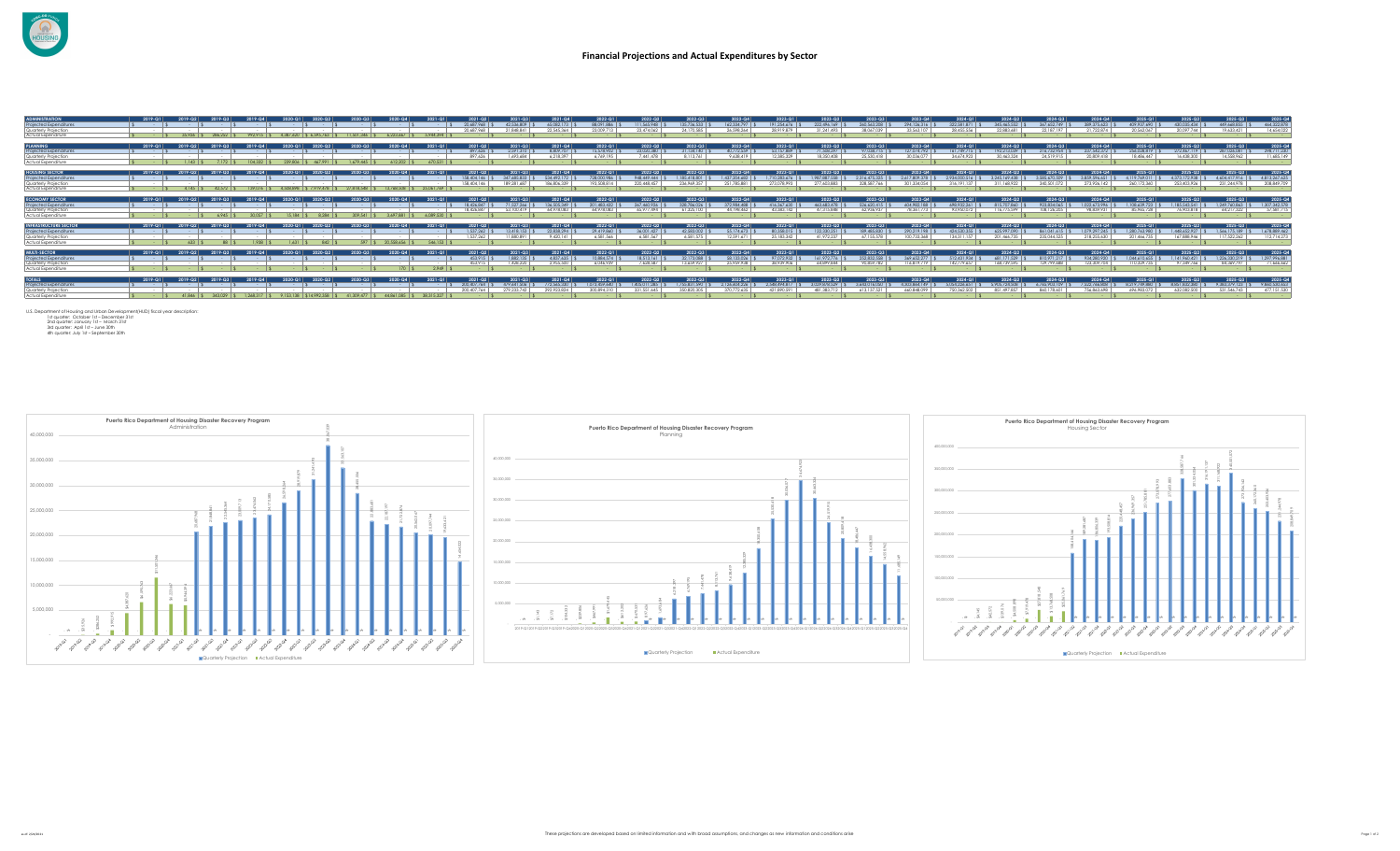

| ADMINISTRATION<br>Projected Expenditure<br>Quarterly Projection<br>Actual Expenditure               | 2019-01<br><b>Contract Contract</b> | 35.926  |                       |                           |           |            | A 223 AA7                    | 5944394    | 20 K87 9A8<br>20.687.968      | 42,536,809<br>21 848 841                     | <b>65082173</b><br>22.545.364     | 88.091.886<br>23.009.713              | 111.565.948<br>23.474.062 | 135 736 533<br>24.170.58       | 162.334.797<br>26.598.264         | 191 254 676   9<br>28.919.879        | 222 496 169<br>31.241.493            | 260.563.208<br>38.067.039            | 294 126 316 \$<br>33.563.107            | 322.581.871<br>28.455.55                 | 345 465 552<br>22 883 681             | 367 652 749<br>22.187.197               | 2024-Q4<br>389 375 623<br>21,722,874                    | 409 937 490<br>20.562.067                | 430.035.434 \$<br>20.097.744                                                               | 449 668 855<br>19.633.421                 | 2025-G<br>464,322,878<br>14.654.022       |
|-----------------------------------------------------------------------------------------------------|-------------------------------------|---------|-----------------------|---------------------------|-----------|------------|------------------------------|------------|-------------------------------|----------------------------------------------|-----------------------------------|---------------------------------------|---------------------------|--------------------------------|-----------------------------------|--------------------------------------|--------------------------------------|--------------------------------------|-----------------------------------------|------------------------------------------|---------------------------------------|-----------------------------------------|---------------------------------------------------------|------------------------------------------|--------------------------------------------------------------------------------------------|-------------------------------------------|-------------------------------------------|
| <b>PLANNING</b><br>Projected Expenditure<br>Quarterly Projection<br>Actual Expenditure              | 2019-01<br><b>Service Service</b>   |         | 104.332               | 239 806                   |           |            |                              |            | 897 626<br>897 474            | 2.591.310<br>1 693 684                       | 8.809.707<br>A 218.39             | 15.578.902<br>6.769.195               | 23.020.380<br>7 441 478   | 31.134.140<br>8 113 76         | 40.772.559<br>9 638 419           | 53 157 889<br>12.385.329             | 71.508.297<br>18.350.408             | 023-03<br>97 038 715<br>5.530.418    | 127 074 792<br>0.036.077                | 34 674 97                                | 192.213.039<br>30 463 324             | 2024-03<br>216.732.954<br>24.519.91     | 2024-Q4<br>237.542.372<br>20 809 418                    | 2025.01<br>256 028 819<br>18, 486, 447   | $2025 - 02$<br>272.467.119<br>16.438.300                                                   | 2025.03<br>287.026.081<br>14,558,962      | 2025-G<br>298.711.23<br>11 685 14         |
| <b>HOUSING SECTOR</b><br>Projected Expenditure<br>Quarterly Projection<br>Actual Expenditure        | 2019-01                             | 2019-02 | 139.076               | 4.508.898                 | \$7919478 |            | 2020-04<br><b>13 748 508</b> | 25.061.769 | 158 404 146<br>158 404 146    | 347 685 833<br>189 281 68                    | 534 492 17<br>186.806.33          | 2022-01<br>728,000.986<br>193,508,814 | 948 449 444               | 1 185 418 801<br>236.969.3     | 2022-04<br>1 437 204 682          | ו ה-123<br>1710283 676               | 19878875<br>77 AD3 883               | 2023-03<br>2.316.475.325             | 2023-04<br>2 617 809 378<br>301 334 054 | 2.934000.5<br>316 1911                   | 2024-02<br>3 245 169 438              | 2024-03<br>3.585 670.509                | 2024-04<br>3859596651<br>273.926.142                    | 2025-01<br>4 119 769 01<br>260.172.360   | 2025.02<br>4.373.172.938 9<br>253.403.926                                                  | 2025-Q3<br>4 604 417 916<br>231.244.978   | 2025-Q<br>4.813.267.62<br>208.849.709     |
| <b>ECONOMY SECTOR</b><br>Projected Expenditure<br>Quarterly Projection<br>Actual Expenditure        | 2019-01                             |         |                       |                           |           |            |                              | A 089.530  | 18.426.847<br>18.426.847      | 71.527.266<br>53 100 419                     | 136,505,349<br>64 978 083         | 201 483 432<br>44.978.083             | 267.460.926<br>65 977 494 | 328 786 026<br>41,325,100      | 372,984.488<br>44.198.462         | 416.367.630<br>43.383.142            | 463.683.478<br>47.315.848            | 526 620 415<br>62.936.937            | AD4 982 188<br>78.361.773               | $-2024 - Q$<br>698.932.261<br>93.950.072 | 2024-02<br>815 707 840<br>116.775.599 | $2024 - 03$<br>923834045<br>108.126.205 | 2024-04<br>1022 673 996<br>98.839.931                   | 2025.01<br>1 108 639 723<br>85.965.728   | 1 185 543 541 \ \$<br>76 903 818                                                           | 1 249 760 863<br>64.217.322               | $2025 - G$<br>1,307,342,578<br>57.581.715 |
| <b>INFRASTRUCTURE SECTOR</b><br>Projected Expenditure<br>Quarterly Projection<br>Actual Expenditure | 2019-01                             |         | 1938                  | $-1.6311$ *               | 842       |            |                              |            | 1.537.262                     | 2021.03<br>13 418 153<br>880.8               | 2021-Q4<br>22 838 294<br>9 420 14 | 2022-01<br>29.419.840<br>A 581 566    | 36,001,427                | 2022-03<br>42,583,002<br>6.581 | 2022-04<br>55.174.673<br>2.591.67 | $023 - 01$<br>80358015<br>25 183 342 | 2023-02<br>122.330.251<br>41.972.237 | 2023-031<br>189 485 830<br>155.578   | 2023-04<br>290 219 198                  | 2024-01<br>424,530,355<br>134.311.1      | 2024-02<br>625 997 090<br>1 466 735   | 2024-03<br>861 041 615<br>235 044 5     | 2024-04<br>1079 297 245<br>218 255 630                  | 2025.01<br>1, 280, 743, 980<br>11 466 73 | 2025.02<br>1448 652 927 \$                                                                 | 2025-03<br>1 544 175 189 C<br>117 522 262 | 2025-G<br>1.678.889.462<br>112.714.273    |
| <b>MULTI-SECTOR</b><br>Proiected Expenditure<br>Quarterly Projection<br>Actual Expenditure          | 2019-01                             |         |                       |                           |           |            |                              | 2.949      | 453 915<br>453915             | 1.882.135<br>1 428 23                        | 4837635                           | 10 884 574 9<br>A 046 939             | 18.513.161                | 32.173.088<br>13 659 97        | 58.133.026<br>25 959 938          | 123-01<br>97.072.932<br>38 939 906   | 1023-02<br>161,972,776<br>A4 899 844 | 2023-03<br>252.832.558<br>90 859 782 | 369.652.277<br>16,819,71                | 512.431.934<br>142 779 65                | 71.529<br>168 739 595                 | 810.971.21<br>129 799 6                 | 2024-04<br>934.280.920<br>123.309.704                   | 2025-01<br>1.044 610 655<br>110.329.73   | 2025-02<br>$1.141.960.421$ \ \$<br>97 349 766                                              | $1.226.330.219$ S<br>84.369.797           | 2025-G<br>1.297.996.88<br>71 666 66       |
| <b>TOTALS</b><br>Projected Expenditures<br>Quarterly Projection<br>Actual Expenditure               | 2019-01                             |         | ንበ19. ሴላ<br>1.268.317 | 9.153.138 \$14.992.358 \$ |           | 41.309.477 | 44 841 085 \$                | 38.315.327 | 200.407.764 \$<br>200.407.764 | 479.641.506   S 772.565.330  <br>279.233.742 |                                   | 1.073.459.640<br>300.894.3            | 1,405,011,285             | 1.755.831.590 \$<br>350.820.30 | 2.126.604.226<br>370.772.63       | 2.548.494.817<br>421 890 591         | 3.029.878.529<br>481 383 7           | 3.643.016.050 \$<br>613.137.521      | 4.303.844.149 \$<br>AD RAR 099          | 2024-01<br>5.054.226.651<br>750 362 50   | 2024-02<br>5.905.724.508              | $2024 - 03$<br>860 178 601              | 2024-04<br>6.765.903.109 \$7.522.766.808<br>756 863 698 | 696.983.07                               | 025-Q2  <br>8.219.749.880 \$ 8.851.832.380 \$ 9.383.379.123 \$ 9.860.530.65<br>632.082.500 | 2025-Q3<br>531 546 743                    | $2025 - G$<br>477.151.53                  |

U.S. Department of Housing and Uranoan Development(HUD) fiscal year description:<br>2nd auarter: October 1st – December 31st<br>2nd auarter: January 1st – March 31st<br>3rd quarter: April 1st – June 30th<br>4th quarter: July 1st – Sep